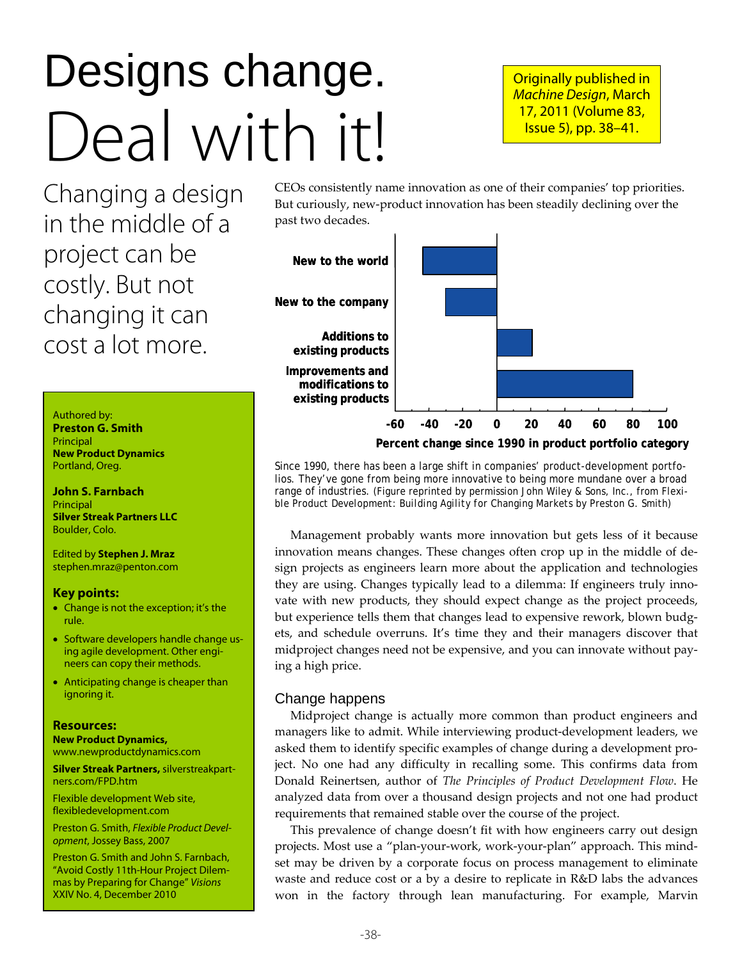# Designs change. Deal with it!

Originally published in Machine Design, March 17, 2011 (Volume 83, Issue 5), pp. 38–41.

Changing a design in the middle of a project can be costly. But not changing it can cost a lot more.

#### Authored by:

**Preston G. Smith**  Principal **New Product Dynamics**  Portland, Oreg.

**John S. Farnbach Principal Silver Streak Partners LLC**  Boulder, Colo.

Edited by **Stephen J. Mraz** stephen.mraz@penton.com

#### **Key points:**

- Change is not the exception; it's the rule.
- Software developers handle change using agile development. Other engineers can copy their methods.
- Anticipating change is cheaper than ignoring it.

#### **Resources:**

**New Product Dynamics,** www.newproductdynamics.com

**Silver Streak Partners,** silverstreakpartners.com/FPD.htm

Flexible development Web site, flexibledevelopment.com

Preston G. Smith, Flexible Product Development, Jossey Bass, 2007

Preston G. Smith and John S. Farnbach, "Avoid Costly 11th-Hour Project Dilemmas by Preparing for Change" Visions XXIV No. 4, December 2010

CEOs consistently name innovation as one of their companies' top priorities. But curiously, new‐product innovation has been steadily declining over the past two decades.



Since 1990, there has been a large shift in companies' product-development portfolios. They've gone from being more innovative to being more mundane over a broad range of industries. (Figure reprinted by permission John Wiley & Sons, Inc., from *Flexible Product Development: Building Agility for Changing Markets* by Preston G. Smith)

Management probably wants more innovation but gets less of it because innovation means changes. These changes often crop up in the middle of de‐ sign projects as engineers learn more about the application and technologies they are using. Changes typically lead to a dilemma: If engineers truly innovate with new products, they should expect change as the project proceeds, but experience tells them that changes lead to expensive rework, blown budg‐ ets, and schedule overruns. It's time they and their managers discover that midproject changes need not be expensive, and you can innovate without pay‐ ing a high price.

#### Change happens

Midproject change is actually more common than product engineers and managers like to admit. While interviewing product‐development leaders, we asked them to identify specific examples of change during a development project. No one had any difficulty in recalling some. This confirms data from Donald Reinertsen, author of *The Principles of Product Development Flow*. He analyzed data from over a thousand design projects and not one had product requirements that remained stable over the course of the project.

This prevalence of change doesn't fit with how engineers carry out design projects. Most use a "plan‐your‐work, work‐your‐plan" approach. This mind‐ set may be driven by a corporate focus on process management to eliminate waste and reduce cost or a by a desire to replicate in R&D labs the advances won in the factory through lean manufacturing. For example, Marvin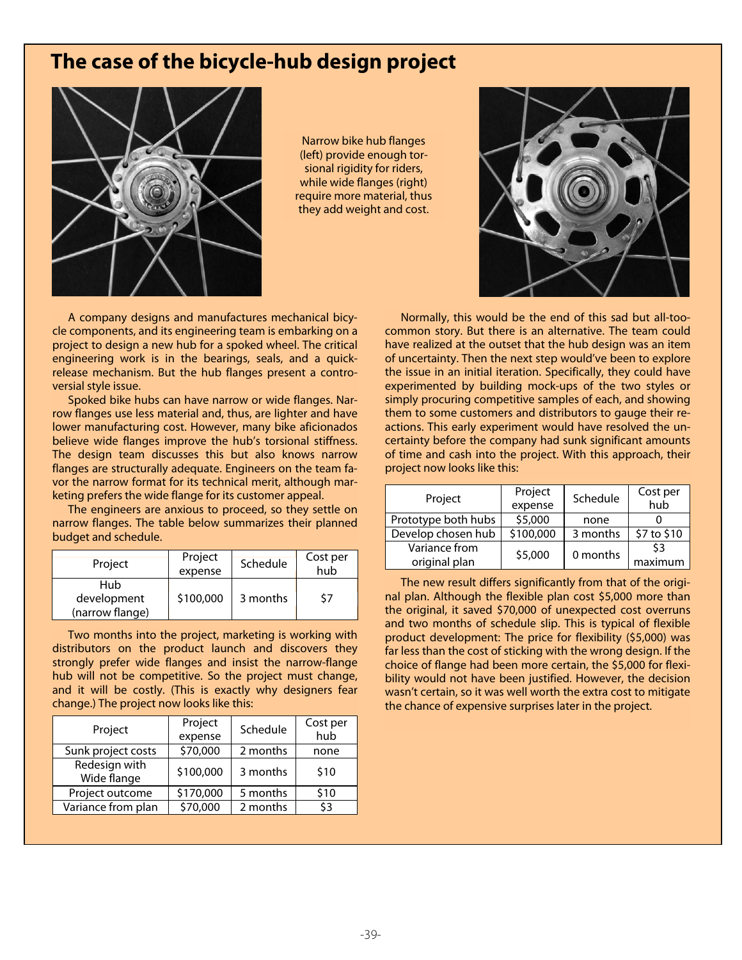## **The case of the bicycle-hub design project**



Narrow bike hub flanges (left) provide enough torsional rigidity for riders, while wide flanges (right) require more material, thus they add weight and cost.

A company designs and manufactures mechanical bicycle components, and its engineering team is embarking on a project to design a new hub for a spoked wheel. The critical engineering work is in the bearings, seals, and a quickrelease mechanism. But the hub flanges present a controversial style issue.

Spoked bike hubs can have narrow or wide flanges. Narrow flanges use less material and, thus, are lighter and have lower manufacturing cost. However, many bike aficionados believe wide flanges improve the hub's torsional stiffness. The design team discusses this but also knows narrow flanges are structurally adequate. Engineers on the team favor the narrow format for its technical merit, although marketing prefers the wide flange for its customer appeal.

The engineers are anxious to proceed, so they settle on narrow flanges. The table below summarizes their planned budget and schedule.

| Project                               | Project<br>expense | Schedule | Cost per<br>hub |
|---------------------------------------|--------------------|----------|-----------------|
| Hub<br>development<br>(narrow flange) | \$100,000          | 3 months | 57              |

Two months into the project, marketing is working with distributors on the product launch and discovers they strongly prefer wide flanges and insist the narrow-flange hub will not be competitive. So the project must change, and it will be costly. (This is exactly why designers fear change.) The project now looks like this:

| Project                      | Project   | Schedule | Cost per |
|------------------------------|-----------|----------|----------|
|                              | expense   |          | hub      |
| Sunk project costs           | \$70,000  | 2 months | none     |
| Redesign with<br>Wide flange | \$100,000 | 3 months | \$10     |
| Project outcome              | \$170,000 | 5 months | \$10     |
| Variance from plan           | \$70,000  | 2 months | \$3      |



Normally, this would be the end of this sad but all-toocommon story. But there is an alternative. The team could have realized at the outset that the hub design was an item of uncertainty. Then the next step would've been to explore the issue in an initial iteration. Specifically, they could have experimented by building mock-ups of the two styles or simply procuring competitive samples of each, and showing them to some customers and distributors to gauge their reactions. This early experiment would have resolved the uncertainty before the company had sunk significant amounts of time and cash into the project. With this approach, their project now looks like this:

| Project             | Project   | Schedule | Cost per    |
|---------------------|-----------|----------|-------------|
|                     | expense   |          | hub         |
| Prototype both hubs | \$5,000   | none     |             |
| Develop chosen hub  | \$100,000 | 3 months | \$7 to \$10 |
| Variance from       | \$5,000   | 0 months | \$3         |
| original plan       |           |          | maximum     |

The new result differs significantly from that of the original plan. Although the flexible plan cost \$5,000 more than the original, it saved \$70,000 of unexpected cost overruns and two months of schedule slip. This is typical of flexible product development: The price for flexibility (\$5,000) was far less than the cost of sticking with the wrong design. If the choice of flange had been more certain, the \$5,000 for flexibility would not have been justified. However, the decision wasn't certain, so it was well worth the extra cost to mitigate the chance of expensive surprises later in the project.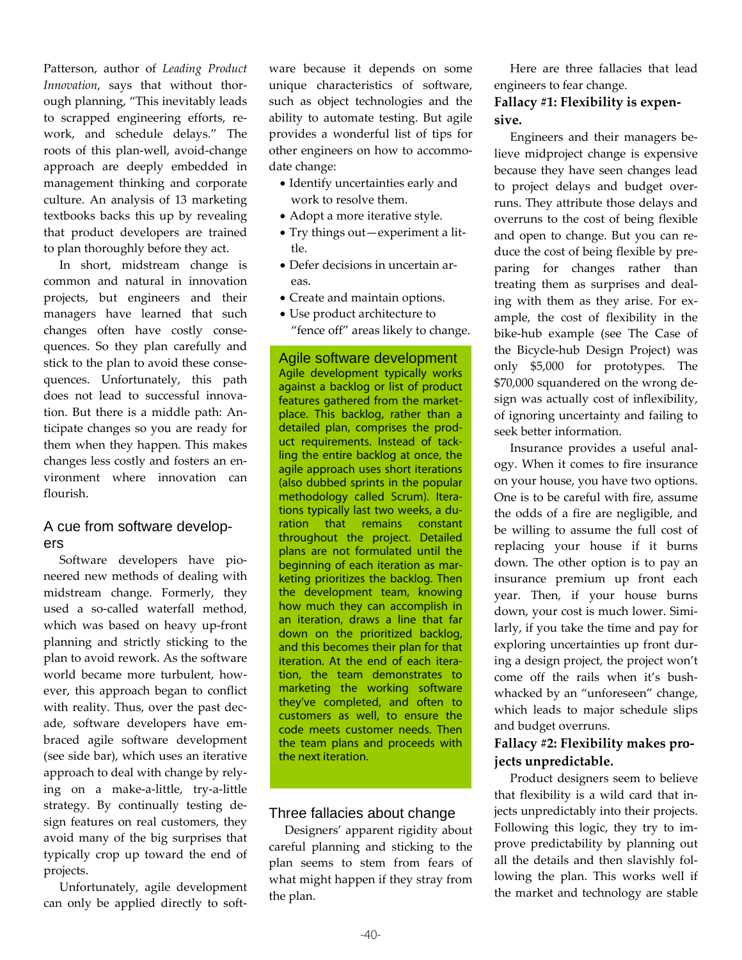Patterson, author of *Leading Product Innovation*, says that without thor‐ ough planning, "This inevitably leads to scrapped engineering efforts, re‐ work, and schedule delays." The roots of this plan‐well, avoid‐change approach are deeply embedded in management thinking and corporate culture. An analysis of 13 marketing textbooks backs this up by revealing that product developers are trained to plan thoroughly before they act.

In short, midstream change is common and natural in innovation projects, but engineers and their managers have learned that such changes often have costly conse‐ quences. So they plan carefully and stick to the plan to avoid these conse‐ quences. Unfortunately, this path does not lead to successful innova‐ tion. But there is a middle path: An‐ ticipate changes so you are ready for them when they happen. This makes changes less costly and fosters an en‐ vironment where innovation can flourish.

## A cue from software developers

Software developers have pioneered new methods of dealing with midstream change. Formerly, they used a so-called waterfall method, which was based on heavy up‐front planning and strictly sticking to the plan to avoid rework. As the software world became more turbulent, how‐ ever, this approach began to conflict with reality. Thus, over the past dec‐ ade, software developers have em‐ braced agile software development (see side bar), which uses an iterative approach to deal with change by rely‐ ing on a make‐a‐little, try‐a‐little strategy. By continually testing de‐ sign features on real customers, they avoid many of the big surprises that typically crop up toward the end of projects.

Unfortunately, agile development can only be applied directly to soft‐

ware because it depends on some unique characteristics of software, such as object technologies and the ability to automate testing. But agile provides a wonderful list of tips for other engineers on how to accommo‐ date change:

- Identify uncertainties early and work to resolve them.
- Adopt a more iterative style.
- Try things out—experiment a lit‐ tle.
- Defer decisions in uncertain ar‐ eas.
- Create and maintain options.
- Use product architecture to "fence off" areas likely to change.

Agile software development Agile development typically works against a backlog or list of product features gathered from the marketplace. This backlog, rather than a detailed plan, comprises the product requirements. Instead of tackling the entire backlog at once, the agile approach uses short iterations (also dubbed sprints in the popular methodology called Scrum). Iterations typically last two weeks, a duration that remains constant throughout the project. Detailed plans are not formulated until the beginning of each iteration as marketing prioritizes the backlog. Then the development team, knowing how much they can accomplish in an iteration, draws a line that far down on the prioritized backlog, and this becomes their plan for that iteration. At the end of each iteration, the team demonstrates to marketing the working software they've completed, and often to customers as well, to ensure the code meets customer needs. Then the team plans and proceeds with the next iteration.

## Three fallacies about change

Designers' apparent rigidity about careful planning and sticking to the plan seems to stem from fears of what might happen if they stray from the plan.

Here are three fallacies that lead engineers to fear change.

## **Fallacy #1: Flexibility is expen‐ sive.**

Engineers and their managers be‐ lieve midproject change is expensive because they have seen changes lead to project delays and budget over‐ runs. They attribute those delays and overruns to the cost of being flexible and open to change. But you can re‐ duce the cost of being flexible by pre‐ paring for changes rather than treating them as surprises and deal‐ ing with them as they arise. For ex‐ ample, the cost of flexibility in the bike‐hub example (see The Case of the Bicycle‐hub Design Project) was only \$5,000 for prototypes. The \$70,000 squandered on the wrong de‐ sign was actually cost of inflexibility, of ignoring uncertainty and failing to seek better information.

Insurance provides a useful anal‐ ogy. When it comes to fire insurance on your house, you have two options. One is to be careful with fire, assume the odds of a fire are negligible, and be willing to assume the full cost of replacing your house if it burns down. The other option is to pay an insurance premium up front each year. Then, if your house burns down, your cost is much lower. Simi‐ larly, if you take the time and pay for exploring uncertainties up front dur‐ ing a design project, the project won't come off the rails when it's bushwhacked by an "unforeseen" change, which leads to major schedule slips and budget overruns.

## **Fallacy #2: Flexibility makes pro‐ jects unpredictable.**

Product designers seem to believe that flexibility is a wild card that in‐ jects unpredictably into their projects. Following this logic, they try to im‐ prove predictability by planning out all the details and then slavishly fol‐ lowing the plan. This works well if the market and technology are stable